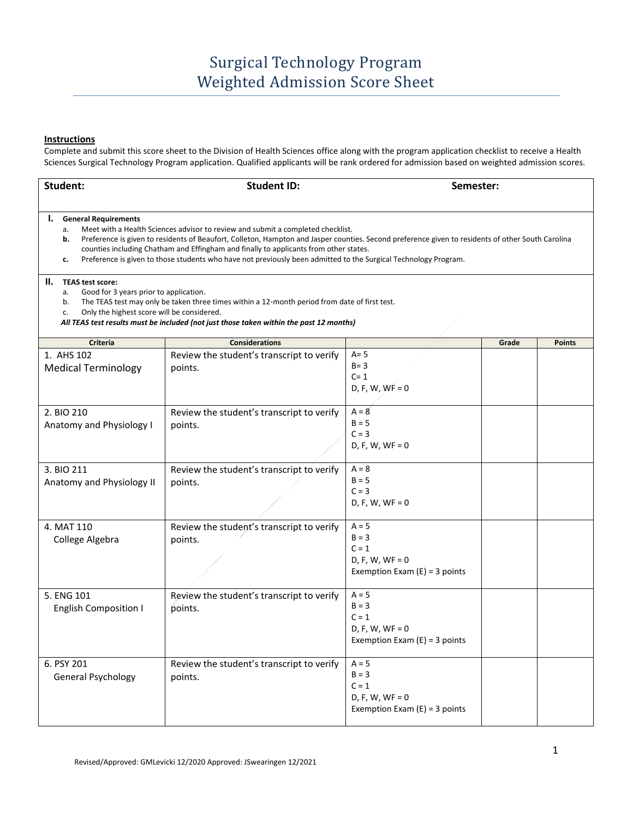## **Instructions**

Complete and submit this score sheet to the Division of Health Sciences office along with the program application checklist to receive a Health Sciences Surgical Technology Program application. Qualified applicants will be rank ordered for admission based on weighted admission scores.

| Student:                                                                                                                                                                                                                                                                                                                                                                                                                                                                                                | <b>Student ID:</b>                                   |                                                                                       |       | Semester:     |  |  |  |  |
|---------------------------------------------------------------------------------------------------------------------------------------------------------------------------------------------------------------------------------------------------------------------------------------------------------------------------------------------------------------------------------------------------------------------------------------------------------------------------------------------------------|------------------------------------------------------|---------------------------------------------------------------------------------------|-------|---------------|--|--|--|--|
| <b>General Requirements</b><br>ı.<br>Meet with a Health Sciences advisor to review and submit a completed checklist.<br>a.<br>Preference is given to residents of Beaufort, Colleton, Hampton and Jasper counties. Second preference given to residents of other South Carolina<br>b.<br>counties including Chatham and Effingham and finally to applicants from other states.<br>Preference is given to those students who have not previously been admitted to the Surgical Technology Program.<br>c. |                                                      |                                                                                       |       |               |  |  |  |  |
| н.<br><b>TEAS test score:</b><br>Good for 3 years prior to application.<br>а.<br>The TEAS test may only be taken three times within a 12-month period from date of first test.<br>b.<br>Only the highest score will be considered.<br>c.<br>All TEAS test results must be included (not just those taken within the past 12 months)                                                                                                                                                                     |                                                      |                                                                                       |       |               |  |  |  |  |
| Criteria                                                                                                                                                                                                                                                                                                                                                                                                                                                                                                | <b>Considerations</b>                                |                                                                                       | Grade | <b>Points</b> |  |  |  |  |
| 1. AHS 102<br><b>Medical Terminology</b>                                                                                                                                                                                                                                                                                                                                                                                                                                                                | Review the student's transcript to verify<br>points. | $A = 5$<br>$B = 3$<br>$C = 1$<br>$D, F, W, WF = 0$                                    |       |               |  |  |  |  |
| 2. BIO 210<br>Anatomy and Physiology I                                                                                                                                                                                                                                                                                                                                                                                                                                                                  | Review the student's transcript to verify<br>points. | $A = 8$<br>$B = 5$<br>$C = 3$<br>$D, F, W, WF = 0$                                    |       |               |  |  |  |  |
| 3. BIO 211<br>Anatomy and Physiology II                                                                                                                                                                                                                                                                                                                                                                                                                                                                 | Review the student's transcript to verify<br>points. | $A = 8$<br>$B = 5$<br>$C = 3$<br>$D, F, W, WF = 0$                                    |       |               |  |  |  |  |
| 4. MAT 110<br>College Algebra                                                                                                                                                                                                                                                                                                                                                                                                                                                                           | Review the student's transcript to verify<br>points. | $A = 5$<br>$B = 3$<br>$C = 1$<br>$D, F, W, WF = 0$<br>Exemption Exam $(E) = 3$ points |       |               |  |  |  |  |
| 5. ENG 101<br><b>English Composition I</b>                                                                                                                                                                                                                                                                                                                                                                                                                                                              | Review the student's transcript to verify<br>points. | $A = 5$<br>$B = 3$<br>$C = 1$<br>$D, F, W, WF = 0$<br>Exemption Exam $(E) = 3$ points |       |               |  |  |  |  |
| 6. PSY 201<br>General Psychology                                                                                                                                                                                                                                                                                                                                                                                                                                                                        | Review the student's transcript to verify<br>points. | $A = 5$<br>$B = 3$<br>$C = 1$<br>$D, F, W, WF = 0$<br>Exemption Exam $(E) = 3$ points |       |               |  |  |  |  |